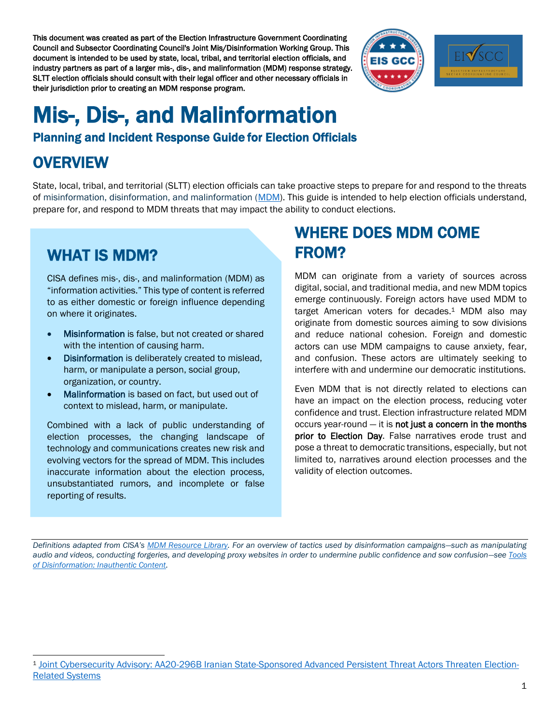This document was created as part of the Election Infrastructure Government Coordinating Council and Subsector Coordinating Council's Joint Mis/Disinformation Working Group. This document is intended to be used by state, local, tribal, and territorial election officials, and industry partners as part of a larger mis-, dis-, and malinformation (MDM) response strategy. SLTT election officials should consult with their legal officer and other necessary officials in their jurisdiction prior to creating an MDM response program.



# Mis-, Dis-, and Malinformation

#### Planning and Incident Response Guide for Election Officials

#### **OVERVIEW**

State, local, tribal, and territorial (SLTT) election officials can take proactive steps to prepare for and respond to the threats of misinformation, disinformation, and malinformation [\(MDM\)](https://www.cisa.gov/mdm). This guide is intended to help election officials understand, prepare for, and respond to MDM threats that may impact the ability to conduct elections.

#### WHAT IS MDM?

CISA defines mis-, dis-, and malinformation (MDM) as "information activities." This type of content is referred to as either domestic or foreign influence depending on where it originates.

- Misinformation is false, but not created or shared with the intention of causing harm.
- Disinformation is deliberately created to mislead, harm, or manipulate a person, social group, organization, or country.
- Malinformation is based on fact, but used out of context to mislead, harm, or manipulate.

Combined with a lack of public understanding of election processes, the changing landscape of technology and communications creates new risk and evolving vectors for the spread of MDM. This includes inaccurate information about the election process, unsubstantiated rumors, and incomplete or false reporting of results.

#### WHERE DOES MDM COME FROM?

MDM can originate from a variety of sources across digital, social, and traditional media, and new MDM topics emerge continuously. Foreign actors have used MDM to target American voters for decades. <sup>1</sup> MDM also may originate from domestic sources aiming to sow divisions and reduce national cohesion. Foreign and domestic actors can use MDM campaigns to cause anxiety, fear, and confusion. These actors are ultimately seeking to interfere with and undermine our democratic institutions.

Even MDM that is not directly related to elections can have an impact on the election process, reducing voter confidence and trust. Election infrastructure related MDM occurs year-round  $-$  it is not just a concern in the months prior to Election Day. False narratives erode trust and pose a threat to democratic transitions, especially, but not limited to, narratives around election processes and the validity of election outcomes.

*Definitions adapted from CISA's [MDM Resource Library.](https://www.cisa.gov/mdm-resource-library) For an overview of tactics used by disinformation campaigns—such as manipulating audio and videos, conducting forgeries, and developing proxy websites in order to undermine public confidence and sow confusion—see [Tools](https://www.cisa.gov/publication/inauthentic-content)  [of Disinformation: Inauthentic Content.](https://www.cisa.gov/publication/inauthentic-content)*

<sup>1</sup> [Joint Cybersecurity Advisory: AA20-296B Iranian State-Sponsored Advanced Persistent Threat Actors Threaten Election-](https://us-cert.cisa.gov/ncas/alerts/aa20-296b)[Related Systems](https://us-cert.cisa.gov/ncas/alerts/aa20-296b)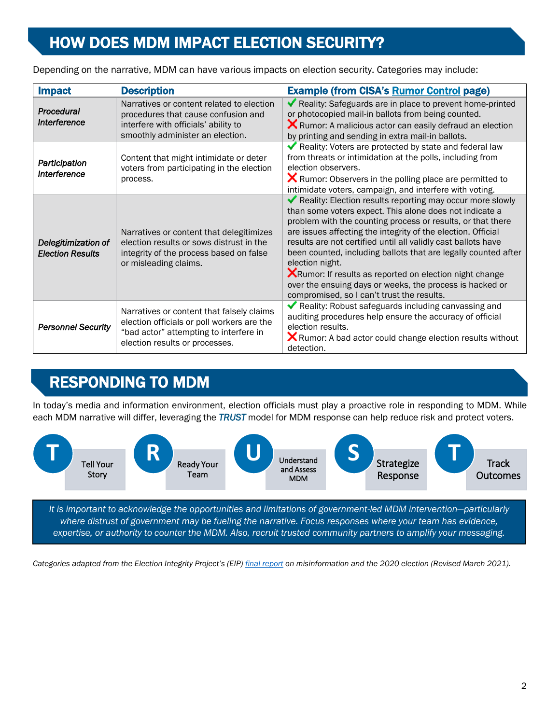#### HOW DOES MDM IMPACT ELECTION SECURITY?

Depending on the narrative, MDM can have various impacts on election security. Categories may include:

| <b>Impact</b>                                  | <b>Description</b>                                                                                                                                                  | <b>Example (from CISA's Rumor Control page)</b>                                                                                                                                                                                                                                                                                                                                                                                                                                                                                                                                        |
|------------------------------------------------|---------------------------------------------------------------------------------------------------------------------------------------------------------------------|----------------------------------------------------------------------------------------------------------------------------------------------------------------------------------------------------------------------------------------------------------------------------------------------------------------------------------------------------------------------------------------------------------------------------------------------------------------------------------------------------------------------------------------------------------------------------------------|
| Procedural<br>Interference                     | Narratives or content related to election<br>procedures that cause confusion and<br>interfere with officials' ability to<br>smoothly administer an election.        | Reality: Safeguards are in place to prevent home-printed<br>or photocopied mail-in ballots from being counted.<br><b>X</b> Rumor: A malicious actor can easily defraud an election<br>by printing and sending in extra mail-in ballots.                                                                                                                                                                                                                                                                                                                                                |
| Participation<br>Interference                  | Content that might intimidate or deter<br>voters from participating in the election<br>process.                                                                     | Reality: Voters are protected by state and federal law<br>from threats or intimidation at the polls, including from<br>election observers.<br><b>X</b> Rumor: Observers in the polling place are permitted to<br>intimidate voters, campaign, and interfere with voting.                                                                                                                                                                                                                                                                                                               |
| Delegitimization of<br><b>Election Results</b> | Narratives or content that delegitimizes<br>election results or sows distrust in the<br>integrity of the process based on false<br>or misleading claims.            | Reality: Election results reporting may occur more slowly<br>than some voters expect. This alone does not indicate a<br>problem with the counting process or results, or that there<br>are issues affecting the integrity of the election. Official<br>results are not certified until all validly cast ballots have<br>been counted, including ballots that are legally counted after<br>election night.<br><b>X</b> Rumor: If results as reported on election night change<br>over the ensuing days or weeks, the process is hacked or<br>compromised, so I can't trust the results. |
| <b>Personnel Security</b>                      | Narratives or content that falsely claims<br>election officials or poll workers are the<br>"bad actor" attempting to interfere in<br>election results or processes. | Reality: Robust safeguards including canvassing and<br>auditing procedures help ensure the accuracy of official<br>election results.<br><b>X</b> Rumor: A bad actor could change election results without<br>detection.                                                                                                                                                                                                                                                                                                                                                                |

## RESPONDING TO MDM

In today's media and information environment, election officials must play a proactive role in responding to MDM. While each MDM narrative will differ, leveraging the *TRUST* model for MDM response can help reduce risk and protect voters.



*It is important to acknowledge the opportunities and limitations of government-led MDM intervention—particularly where distrust of government may be fueling the narrative. Focus responses where your team has evidence, expertise, or authority to counter the MDM. Also, recruit trusted community partners to amplify your messaging.* 

Categories adapted from the Election Integrity Project's (EIP) *[final report](https://www.eipartnership.net/)* on misinformation and the 2020 election (Revised March 2021).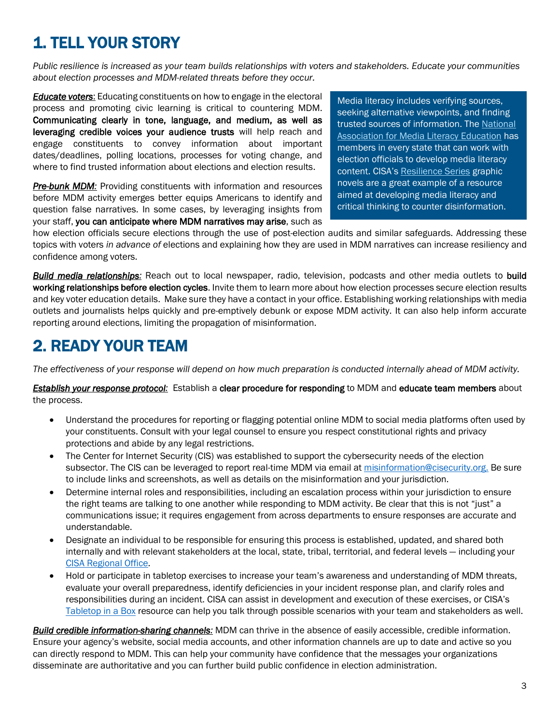## 1. TELL YOUR STORY

*Public resilience is increased as your team builds relationships with voters and stakeholders. Educate your communities about election processes and MDM-related threats before they occur.* 

*Educate voters*: Educating constituents on how to engage in the electoral process and promoting civic learning is critical to countering MDM. Communicating clearly in tone, language, and medium, as well as leveraging credible voices your audience trusts will help reach and engage constituents to convey information about important dates/deadlines, polling locations, processes for voting change, and where to find trusted information about elections and election results.

**Pre-bunk MDM:** Providing constituents with information and resources before MDM activity emerges [better equips A](https://firstdraftnews.org/articles/a-guide-to-prebunking-a-promising-way-to-inoculate-against-misinformation/?mc_cid=244c5eba4d&mc_eid=be43181caa)mericans to identify and question false narratives. In some cases, by leveraging insights from your staff, you can anticipate where MDM narratives may arise, such as Media literacy includes verifying sources, seeking alternative viewpoints, and finding trusted sources of information. The National [Association for Media Literacy Education](https://namle.net/) has members in every state that can work with election officials to develop media literacy content. CISA's [Resilience Series](https://www.cisa.gov/resilience-series-graphic-novels) graphic novels are a great example of a resource aimed at developing media literacy and critical thinking to counter disinformation.

how election officials secure elections through the use of post-election audits and similar safeguards. Addressing these topics with voters *in advance of* elections and explaining how they are used in MDM narratives can increase resiliency and confidence among voters.

*Build media relationships:* Reach out to local newspaper, radio, television, podcasts and other media outlets to build working relationships before election cycles. Invite them to learn more about how election processes secure election results and key voter education details. Make sure they have a contact in your office. Establishing working relationships with media outlets and journalists helps quickly and pre-emptively debunk or expose MDM activity. It can also help inform accurate reporting around elections, limiting the propagation of misinformation.

#### 2. READY YOUR TEAM

*The effectiveness of your response will depend on how much preparation is conducted internally ahead of MDM activity.* 

#### *Establish your response protocol:* Establish a clear procedure for responding to MDM and educate team members about the process.

- Understand the procedures for reporting or flagging potential online MDM to social media platforms often used by your constituents. Consult with your legal counsel to ensure you respect constitutional rights and privacy protections and abide by any legal restrictions.
- The Center for Internet Security (CIS) was established to support the cybersecurity needs of the election subsector. The CIS can be leveraged to report real-time MDM via email at [misinformation@cisecurity.org.](mailto:misinformation@cisecurity.org) Be sure to include links and screenshots, as well as details on the misinformation and your jurisdiction.
- Determine internal roles and responsibilities, including an escalation process within your jurisdiction to ensure the right teams are talking to one another while responding to MDM activity. Be clear that this is not "just" a communications issue; it requires engagement from across departments to ensure responses are accurate and understandable.
- Designate an individual to be responsible for ensuring this process is established, updated, and shared both internally and with relevant stakeholders at the local, state, tribal, territorial, and federal levels — including your [CISA Regional Office.](https://www.cisa.gov/cisa-regions)
- Hold or participate in tabletop exercises to increase your team's awareness and understanding of MDM threats, evaluate your overall preparedness, identify deficiencies in your incident response plan, and clarify roles and responsibilities during an incident. CISA can assist in development and execution of these exercises, or CISA's [Tabletop in a Box](https://www.cisa.gov/publication/elections-cyber-tabletop-box) resource can help you talk through possible scenarios with your team and stakeholders as well.

*Build credible information-sharing channels:* MDM can thrive in the absence of easily accessible, credible information. Ensure your agency's website, social media accounts, and other information channels are up to date and active so you can directly respond to MDM. This can help your community have confidence that the messages your organizations disseminate are authoritative and you can further build public confidence in election administration.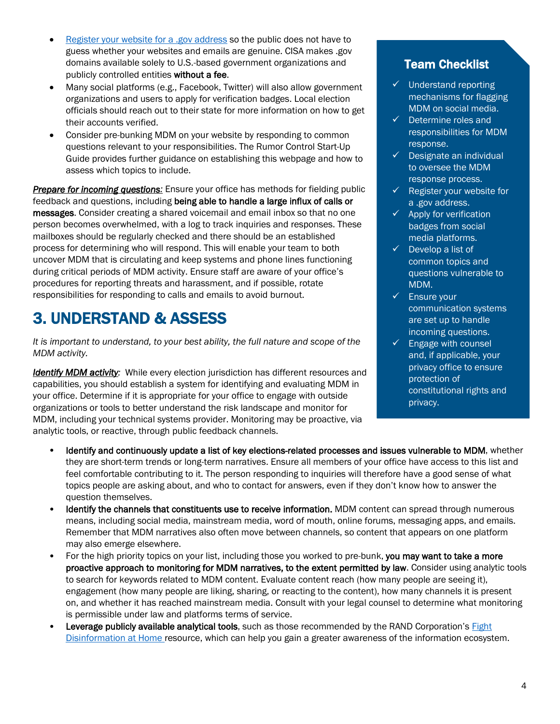- [Register your website for a .gov address](https://home.dotgov.gov/registration/) so the public does not have to guess whether your websites and emails are genuine. CISA makes .gov domains available solely to U.S.-based government organizations and publicly controlled entities without a fee.
- Many social platforms (e.g., Facebook, Twitter) will also allow government organizations and users to apply for verification badges. Local election officials should reach out to their state for more information on how to get their accounts verified.
- Consider pre-bunking MDM on your website by responding to common questions relevant to your responsibilities. The Rumor Control Start-Up Guide provides further guidance on establishing this webpage and how to assess which topics to include.

*Prepare for incoming questions:* Ensure your office has methods for fielding public feedback and questions, including being able to handle a large influx of calls or messages. Consider creating a shared voicemail and email inbox so that no one person becomes overwhelmed, with a log to track inquiries and responses. These mailboxes should be regularly checked and there should be an established process for determining who will respond. This will enable your team to both uncover MDM that is circulating and keep systems and phone lines functioning during critical periods of MDM activity. Ensure staff are aware of your office's procedures for reporting threats and harassment, and if possible, rotate responsibilities for responding to calls and emails to avoid burnout.

#### 3. UNDERSTAND & ASSESS

*It is important to understand, to your best ability, the full nature and scope of the MDM activity.*

**Identify MDM activity:** While every election jurisdiction has different resources and capabilities, you should establish a system for identifying and evaluating MDM in your office. Determine if it is appropriate for your office to engage with outside organizations or tools to better understand the risk landscape and monitor for MDM, including your technical systems provider. Monitoring may be proactive, via analytic tools, or reactive, through public feedback channels.

#### Team Checklist

- ✓ Understand reporting mechanisms for flagging MDM on social media.
- ✓ Determine roles and responsibilities for MDM response.
- $\checkmark$  Designate an individual to oversee the MDM response process.
- $\checkmark$  Register your website for a .gov address.
- $\checkmark$  Apply for verification badges from social media platforms.
- $\checkmark$  Develop a list of common topics and questions vulnerable to MDM.
- ✓ Ensure your communication systems are set up to handle incoming questions.
- $\checkmark$  Engage with counsel and, if applicable, your privacy office to ensure protection of constitutional rights and privacy.
- Identify and continuously update a list of key elections-related processes and issues vulnerable to MDM, whether they are short-term trends or long-term narratives. Ensure all members of your office have access to this list and feel comfortable contributing to it. The person responding to inquiries will therefore have a good sense of what topics people are asking about, and who to contact for answers, even if they don't know how to answer the question themselves.
- Identify the channels that constituents use to receive information. MDM content can spread through numerous means, including social media, mainstream media, word of mouth, online forums, messaging apps, and emails. Remember that MDM narratives also often move between channels, so content that appears on one platform may also emerge elsewhere.
- For the high priority topics on your list, including those you worked to pre-bunk, you may want to take a more proactive approach to monitoring for MDM narratives, to the extent permitted by law. Consider using analytic tools to search for keywords related to MDM content. Evaluate content reach (how many people are seeing it), engagement (how many people are liking, sharing, or reacting to the content), how many channels it is present on, and whether it has reached mainstream media. Consult with your legal counsel to determine what monitoring is permissible under law and platforms terms of service.
- Leverage publicly available analytical tools, such as those recommended by the RAND Corporation's [Fight](https://www.rand.org/research/projects/truth-decay/fighting-disinformation.html) [Disinformation at Home](https://www.rand.org/research/projects/truth-decay/fighting-disinformation.html) resource, which can help you gain a greater awareness of the information ecosystem.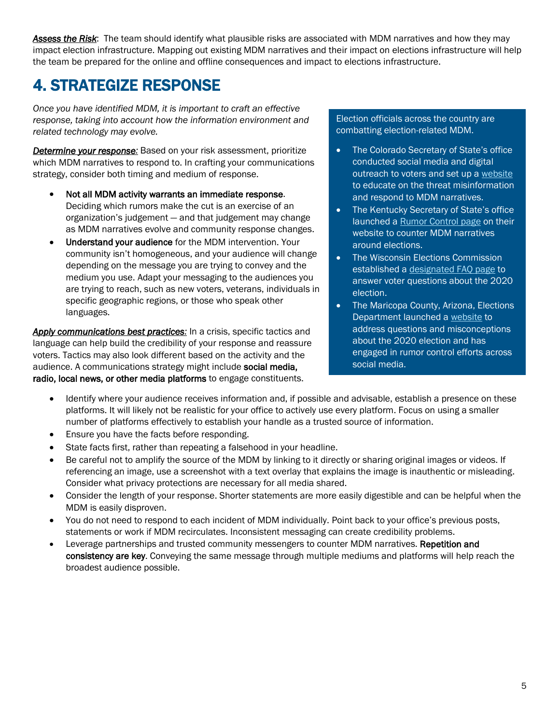*Assess the Risk*: The team should identify what plausible risks are associated with MDM narratives and how they may impact election infrastructure. Mapping out existing MDM narratives and their impact on elections infrastructure will help the team be prepared for the online and offline consequences and impact to elections infrastructure.

#### 4. STRATEGIZE RESPONSE

*Once you have identified MDM, it is important to craft an effective response, taking into account how the information environment and related technology may evolve.* 

*Determine your response:* Based on your risk assessment, prioritize which MDM narratives to respond to. In crafting your communications strategy, consider both timing and medium of response.

- Not all MDM activity warrants an immediate response. Deciding which rumors make the cut is an exercise of an organization's judgement — and that judgement may change as MDM narratives evolve and community response changes.
- Understand your audience for the MDM intervention. Your community isn't homogeneous, and your audience will change depending on the message you are trying to convey and the medium you use. Adapt your messaging to the audiences you are trying to reach, such as new voters, veterans, individuals in specific geographic regions, or those who speak other languages.

*Apply communications best practices:* In a crisis, specific tactics and language can help build the credibility of your response and reassure voters. Tactics may also look different based on the activity and the audience. A communications strategy might include social media, radio, local news, or other media platforms to engage constituents.

Election officials across the country are combatting election-related MDM.

- The Colorado Secretary of State's office conducted social media and digital outreach to voters and set up a [website](https://www.sos.state.co.us/pubs/elections/ElectionIntegrity/index.html) to educate on the threat misinformation and respond to MDM narratives.
- The Kentucky Secretary of State's office launched a [Rumor Control page](https://www.sos.ky.gov/elections/Pages/Rumor-Control.aspx) on their website to counter MDM narratives around elections.
- The Wisconsin Elections Commission established [a designated FAQ page](https://elections.wi.gov/faq/2020) to answer voter questions about the 2020 election.
- The Maricopa County, Arizona, Elections Department launched a [website](https://recorder.maricopa.gov/justthefacts/) to address questions and misconceptions about the 2020 election and has engaged in rumor control efforts across social media.
- Identify where your audience receives information and, if possible and advisable, establish a presence on these platforms. It will likely not be realistic for your office to actively use every platform. Focus on using a smaller number of platforms effectively to establish your handle as a trusted source of information.
- Ensure you have the facts before responding.
- State facts first, rather than repeating a falsehood in your headline.
- Be careful not to amplify the source of the MDM by linking to it directly or sharing original images or videos. If referencing an image, use a screenshot with a text overlay that explains the image is inauthentic or misleading. Consider what privacy protections are necessary for all media shared.
- Consider the length of your response. Shorter statements are more easily digestible and can be helpful when the MDM is easily disproven.
- You do not need to respond to each incident of MDM individually. Point back to your office's previous posts, statements or work if MDM recirculates. Inconsistent messaging can create credibility problems.
- Leverage partnerships and trusted community messengers to counter MDM narratives. Repetition and consistency are key. Conveying the same message through multiple mediums and platforms will help reach the broadest audience possible.